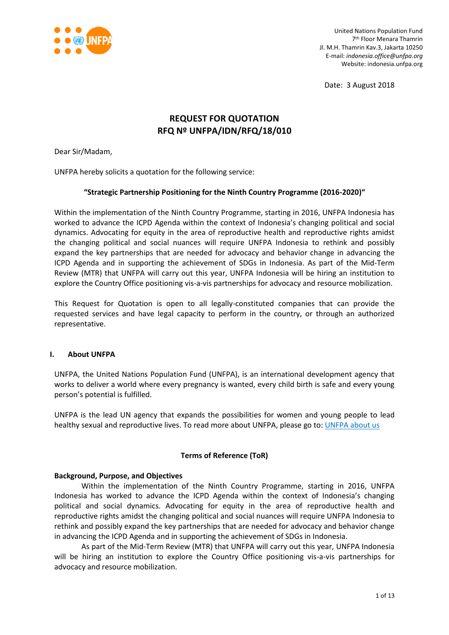

United Nations Population Fund 7 th Floor Menara Thamrin Jl. M.H. Thamrin Kav.3, Jakarta 10250 E-mail: *indonesia.office@unfpa.org* Website: indonesia.unfpa.org

Date: 3 August 2018

# **REQUEST FOR QUOTATION RFQ Nº UNFPA/IDN/RFQ/18/010**

Dear Sir/Madam,

UNFPA hereby solicits a quotation for the following service:

## **"Strategic Partnership Positioning for the Ninth Country Programme (2016-2020)"**

Within the implementation of the Ninth Country Programme, starting in 2016, UNFPA Indonesia has worked to advance the ICPD Agenda within the context of Indonesia's changing political and social dynamics. Advocating for equity in the area of reproductive health and reproductive rights amidst the changing political and social nuances will require UNFPA Indonesia to rethink and possibly expand the key partnerships that are needed for advocacy and behavior change in advancing the ICPD Agenda and in supporting the achievement of SDGs in Indonesia. As part of the Mid-Term Review (MTR) that UNFPA will carry out this year, UNFPA Indonesia will be hiring an institution to explore the Country Office positioning vis-a-vis partnerships for advocacy and resource mobilization.

This Request for Quotation is open to all legally-constituted companies that can provide the requested services and have legal capacity to perform in the country, or through an authorized representative.

#### **I. About UNFPA**

UNFPA, the United Nations Population Fund (UNFPA), is an international development agency that works to deliver a world where every pregnancy is wanted, every child birth is safe and every young person's potential is fulfilled.

UNFPA is the lead UN agency that expands the possibilities for women and young people to lead healthy sexual and reproductive lives. To read more about UNFPA, please go to: [UNFPA about us](http://www.unfpa.org/about-us)

## **Terms of Reference (ToR)**

#### **Background, Purpose, and Objectives**

Within the implementation of the Ninth Country Programme, starting in 2016, UNFPA Indonesia has worked to advance the ICPD Agenda within the context of Indonesia's changing political and social dynamics. Advocating for equity in the area of reproductive health and reproductive rights amidst the changing political and social nuances will require UNFPA Indonesia to rethink and possibly expand the key partnerships that are needed for advocacy and behavior change in advancing the ICPD Agenda and in supporting the achievement of SDGs in Indonesia.

As part of the Mid-Term Review (MTR) that UNFPA will carry out this year, UNFPA Indonesia will be hiring an institution to explore the Country Office positioning vis-a-vis partnerships for advocacy and resource mobilization.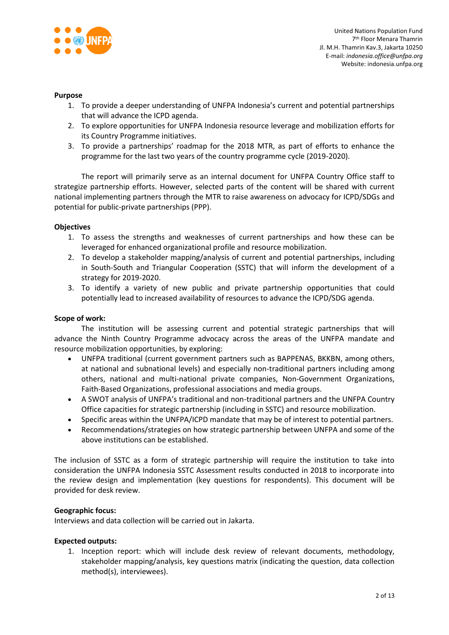

#### **Purpose**

- 1. To provide a deeper understanding of UNFPA Indonesia's current and potential partnerships that will advance the ICPD agenda.
- 2. To explore opportunities for UNFPA Indonesia resource leverage and mobilization efforts for its Country Programme initiatives.
- 3. To provide a partnerships' roadmap for the 2018 MTR, as part of efforts to enhance the programme for the last two years of the country programme cycle (2019-2020).

The report will primarily serve as an internal document for UNFPA Country Office staff to strategize partnership efforts. However, selected parts of the content will be shared with current national implementing partners through the MTR to raise awareness on advocacy for ICPD/SDGs and potential for public-private partnerships (PPP).

#### **Objectives**

- 1. To assess the strengths and weaknesses of current partnerships and how these can be leveraged for enhanced organizational profile and resource mobilization.
- 2. To develop a stakeholder mapping/analysis of current and potential partnerships, including in South-South and Triangular Cooperation (SSTC) that will inform the development of a strategy for 2019-2020.
- 3. To identify a variety of new public and private partnership opportunities that could potentially lead to increased availability of resources to advance the ICPD/SDG agenda.

#### **Scope of work:**

The institution will be assessing current and potential strategic partnerships that will advance the Ninth Country Programme advocacy across the areas of the UNFPA mandate and resource mobilization opportunities, by exploring:

- UNFPA traditional (current government partners such as BAPPENAS, BKKBN, among others, at national and subnational levels) and especially non-traditional partners including among others, national and multi-national private companies, Non-Government Organizations, Faith-Based Organizations, professional associations and media groups.
- A SWOT analysis of UNFPA's traditional and non-traditional partners and the UNFPA Country Office capacities for strategic partnership (including in SSTC) and resource mobilization.
- Specific areas within the UNFPA/ICPD mandate that may be of interest to potential partners.
- Recommendations/strategies on how strategic partnership between UNFPA and some of the above institutions can be established.

The inclusion of SSTC as a form of strategic partnership will require the institution to take into consideration the UNFPA Indonesia SSTC Assessment results conducted in 2018 to incorporate into the review design and implementation (key questions for respondents). This document will be provided for desk review.

#### **Geographic focus:**

Interviews and data collection will be carried out in Jakarta.

#### **Expected outputs:**

1. Inception report: which will include desk review of relevant documents, methodology, stakeholder mapping/analysis, key questions matrix (indicating the question, data collection method(s), interviewees).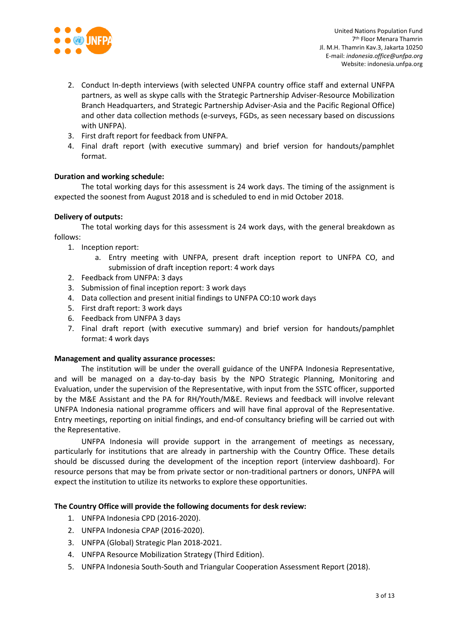

- 2. Conduct In-depth interviews (with selected UNFPA country office staff and external UNFPA partners, as well as skype calls with the Strategic Partnership Adviser-Resource Mobilization Branch Headquarters, and Strategic Partnership Adviser-Asia and the Pacific Regional Office) and other data collection methods (e-surveys, FGDs, as seen necessary based on discussions with UNFPA).
- 3. First draft report for feedback from UNFPA.
- 4. Final draft report (with executive summary) and brief version for handouts/pamphlet format.

## **Duration and working schedule:**

The total working days for this assessment is 24 work days. The timing of the assignment is expected the soonest from August 2018 and is scheduled to end in mid October 2018.

## **Delivery of outputs:**

The total working days for this assessment is 24 work days, with the general breakdown as follows:

1. Inception report:

- a. Entry meeting with UNFPA, present draft inception report to UNFPA CO, and submission of draft inception report: 4 work days
- 2. Feedback from UNFPA: 3 days
- 3. Submission of final inception report: 3 work days
- 4. Data collection and present initial findings to UNFPA CO:10 work days
- 5. First draft report: 3 work days
- 6. Feedback from UNFPA 3 days
- 7. Final draft report (with executive summary) and brief version for handouts/pamphlet format: 4 work days

## **Management and quality assurance processes:**

The institution will be under the overall guidance of the UNFPA Indonesia Representative, and will be managed on a day-to-day basis by the NPO Strategic Planning, Monitoring and Evaluation, under the supervision of the Representative, with input from the SSTC officer, supported by the M&E Assistant and the PA for RH/Youth/M&E. Reviews and feedback will involve relevant UNFPA Indonesia national programme officers and will have final approval of the Representative. Entry meetings, reporting on initial findings, and end-of consultancy briefing will be carried out with the Representative.

UNFPA Indonesia will provide support in the arrangement of meetings as necessary, particularly for institutions that are already in partnership with the Country Office. These details should be discussed during the development of the inception report (interview dashboard). For resource persons that may be from private sector or non-traditional partners or donors, UNFPA will expect the institution to utilize its networks to explore these opportunities.

## **The Country Office will provide the following documents for desk review:**

- 1. UNFPA Indonesia CPD (2016-2020).
- 2. UNFPA Indonesia CPAP (2016-2020).
- 3. UNFPA (Global) Strategic Plan 2018-2021.
- 4. UNFPA Resource Mobilization Strategy (Third Edition).
- 5. UNFPA Indonesia South-South and Triangular Cooperation Assessment Report (2018).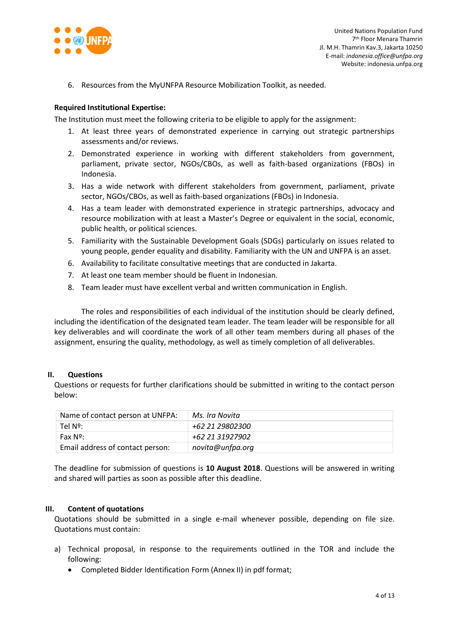

6. Resources from the MyUNFPA Resource Mobilization Toolkit, as needed.

### **Required Institutional Expertise:**

The Institution must meet the following criteria to be eligible to apply for the assignment:

- 1. At least three years of demonstrated experience in carrying out strategic partnerships assessments and/or reviews.
- 2. Demonstrated experience in working with different stakeholders from government, parliament, private sector, NGOs/CBOs, as well as faith-based organizations (FBOs) in Indonesia.
- 3. Has a wide network with different stakeholders from government, parliament, private sector, NGOs/CBOs, as well as faith-based organizations (FBOs) in Indonesia.
- 4. Has a team leader with demonstrated experience in strategic partnerships, advocacy and resource mobilization with at least a Master's Degree or equivalent in the social, economic, public health, or political sciences.
- 5. Familiarity with the Sustainable Development Goals (SDGs) particularly on issues related to young people, gender equality and disability. Familiarity with the UN and UNFPA is an asset.
- 6. Availability to facilitate consultative meetings that are conducted in Jakarta.
- 7. At least one team member should be fluent in Indonesian.
- 8. Team leader must have excellent verbal and written communication in English.

The roles and responsibilities of each individual of the institution should be clearly defined, including the identification of the designated team leader. The team leader will be responsible for all key deliverables and will coordinate the work of all other team members during all phases of the assignment, ensuring the quality, methodology, as well as timely completion of all deliverables.

#### **II. Questions**

Questions or requests for further clarifications should be submitted in writing to the contact person below:

| Name of contact person at UNFPA: | Ms. Ira Novita   |
|----------------------------------|------------------|
| Tel Nº:                          | +62 21 29802300  |
| Fax $N^{\circ}$ :                | +62 21 31927902  |
| Email address of contact person: | novita@unfpa.org |

The deadline for submission of questions is **10 August 2018**. Questions will be answered in writing and shared will parties as soon as possible after this deadline.

#### **III. Content of quotations**

Quotations should be submitted in a single e-mail whenever possible, depending on file size. Quotations must contain:

- a) Technical proposal, in response to the requirements outlined in the TOR and include the following:
	- Completed Bidder Identification Form (Annex II) in pdf format;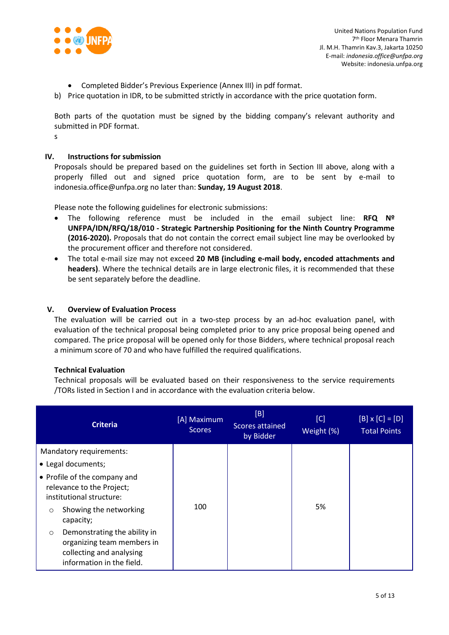

- Completed Bidder's Previous Experience (Annex III) in pdf format.
- b) Price quotation in IDR, to be submitted strictly in accordance with the price quotation form.

Both parts of the quotation must be signed by the bidding company's relevant authority and submitted in PDF format.

s

## **IV. Instructions for submission**

Proposals should be prepared based on the guidelines set forth in Section III above, along with a properly filled out and signed price quotation form, are to be sent by e-mail to indonesia.office@unfpa.org no later than: **Sunday, 19 August 2018**.

Please note the following guidelines for electronic submissions:

- The following reference must be included in the email subject line: **RFQ Nº UNFPA/IDN/RFQ/18/010 - Strategic Partnership Positioning for the Ninth Country Programme (2016-2020).** Proposals that do not contain the correct email subject line may be overlooked by the procurement officer and therefore not considered.
- The total e-mail size may not exceed **20 MB (including e-mail body, encoded attachments and headers)**. Where the technical details are in large electronic files, it is recommended that these be sent separately before the deadline.

## **V. Overview of Evaluation Process**

The evaluation will be carried out in a two-step process by an ad-hoc evaluation panel, with evaluation of the technical proposal being completed prior to any price proposal being opened and compared. The price proposal will be opened only for those Bidders, where technical proposal reach a minimum score of 70 and who have fulfilled the required qualifications.

## **Technical Evaluation**

Technical proposals will be evaluated based on their responsiveness to the service requirements /TORs listed in Section I and in accordance with the evaluation criteria below.

| <b>Criteria</b>                                                                                                                | [A] Maximum<br><b>Scores</b> | [B]<br>Scores attained<br>by Bidder | [C]<br>Weight (%) | $[B] \times [C] = [D]$<br><b>Total Points</b> |
|--------------------------------------------------------------------------------------------------------------------------------|------------------------------|-------------------------------------|-------------------|-----------------------------------------------|
| Mandatory requirements:                                                                                                        |                              |                                     |                   |                                               |
| • Legal documents;                                                                                                             |                              |                                     |                   |                                               |
| • Profile of the company and<br>relevance to the Project;<br>institutional structure:                                          |                              |                                     |                   |                                               |
| Showing the networking<br>$\circ$<br>capacity;                                                                                 | 100                          |                                     | 5%                |                                               |
| Demonstrating the ability in<br>$\circ$<br>organizing team members in<br>collecting and analysing<br>information in the field. |                              |                                     |                   |                                               |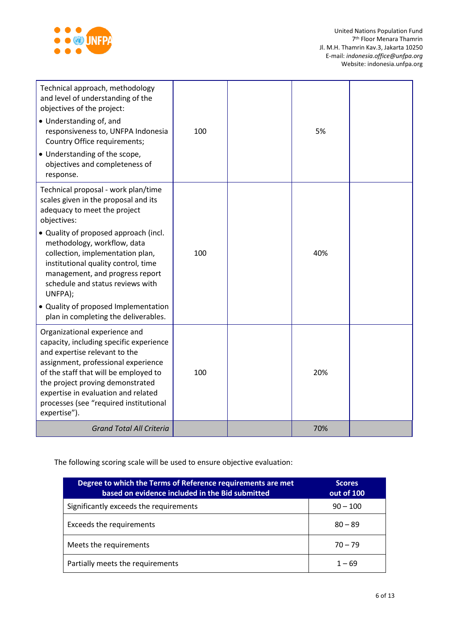

| Technical approach, methodology<br>and level of understanding of the<br>objectives of the project:<br>• Understanding of, and<br>responsiveness to, UNFPA Indonesia<br>Country Office requirements;<br>• Understanding of the scope,<br>objectives and completeness of<br>response.                                            | 100 | 5%  |  |
|--------------------------------------------------------------------------------------------------------------------------------------------------------------------------------------------------------------------------------------------------------------------------------------------------------------------------------|-----|-----|--|
| Technical proposal - work plan/time<br>scales given in the proposal and its<br>adequacy to meet the project<br>objectives:                                                                                                                                                                                                     |     |     |  |
| • Quality of proposed approach (incl.<br>methodology, workflow, data<br>collection, implementation plan,<br>institutional quality control, time<br>management, and progress report<br>schedule and status reviews with<br>UNFPA);                                                                                              | 100 | 40% |  |
| • Quality of proposed Implementation<br>plan in completing the deliverables.                                                                                                                                                                                                                                                   |     |     |  |
| Organizational experience and<br>capacity, including specific experience<br>and expertise relevant to the<br>assignment, professional experience<br>of the staff that will be employed to<br>the project proving demonstrated<br>expertise in evaluation and related<br>processes (see "required institutional<br>expertise"). | 100 | 20% |  |
| <b>Grand Total All Criteria</b>                                                                                                                                                                                                                                                                                                |     | 70% |  |

The following scoring scale will be used to ensure objective evaluation:

| Degree to which the Terms of Reference requirements are met<br>based on evidence included in the Bid submitted | <b>Scores</b><br>out of 100 |
|----------------------------------------------------------------------------------------------------------------|-----------------------------|
| Significantly exceeds the requirements                                                                         | $90 - 100$                  |
| <b>Exceeds the requirements</b>                                                                                | $80 - 89$                   |
| Meets the requirements                                                                                         | $70 - 79$                   |
| Partially meets the requirements                                                                               | $1 - 69$                    |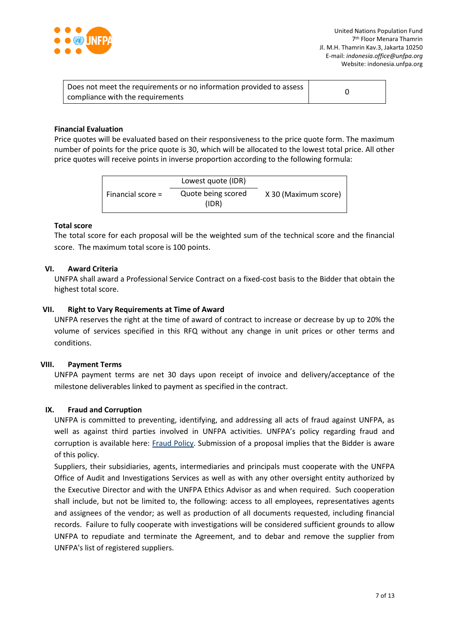

| Does not meet the requirements or no information provided to assess |  |
|---------------------------------------------------------------------|--|
| compliance with the requirements                                    |  |

### **Financial Evaluation**

Price quotes will be evaluated based on their responsiveness to the price quote form. The maximum number of points for the price quote is 30, which will be allocated to the lowest total price. All other price quotes will receive points in inverse proportion according to the following formula:

|                     | Lowest quote (IDR)          |                      |
|---------------------|-----------------------------|----------------------|
| Financial score $=$ | Quote being scored<br>(IDR) | X 30 (Maximum score) |

#### **Total score**

The total score for each proposal will be the weighted sum of the technical score and the financial score. The maximum total score is 100 points.

#### **VI. Award Criteria**

UNFPA shall award a Professional Service Contract on a fixed-cost basis to the Bidder that obtain the highest total score.

#### **VII. Right to Vary Requirements at Time of Award**

UNFPA reserves the right at the time of award of contract to increase or decrease by up to 20% the volume of services specified in this RFQ without any change in unit prices or other terms and conditions.

#### **VIII. Payment Terms**

UNFPA payment terms are net 30 days upon receipt of invoice and delivery/acceptance of the milestone deliverables linked to payment as specified in the contract.

### **IX. [Fraud and Corruption](http://www.unfpa.org/about-procurement#FraudCorruption)**

UNFPA is committed to preventing, identifying, and addressing all acts of fraud against UNFPA, as well as against third parties involved in UNFPA activities. UNFPA's policy regarding fraud and corruption is available here: [Fraud Policy.](http://www.unfpa.org/resources/fraud-policy-2009#overlay-context=node/10356/draft) Submission of a proposal implies that the Bidder is aware of this policy.

Suppliers, their subsidiaries, agents, intermediaries and principals must cooperate with the UNFPA Office of Audit and Investigations Services as well as with any other oversight entity authorized by the Executive Director and with the UNFPA Ethics Advisor as and when required. Such cooperation shall include, but not be limited to, the following: access to all employees, representatives agents and assignees of the vendor; as well as production of all documents requested, including financial records. Failure to fully cooperate with investigations will be considered sufficient grounds to allow UNFPA to repudiate and terminate the Agreement, and to debar and remove the supplier from UNFPA's list of registered suppliers.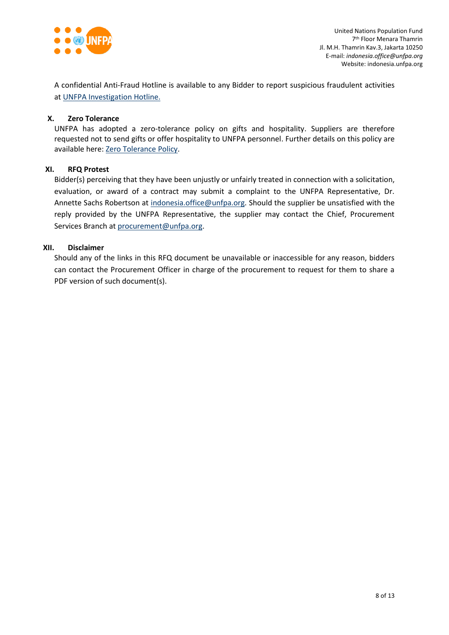

A confidential Anti-Fraud Hotline is available to any Bidder to report suspicious fraudulent activities a[t UNFPA Investigation Hotline.](http://web2.unfpa.org/help/hotline.cfm)

## **X. Zero Tolerance**

UNFPA has adopted a zero-tolerance policy on gifts and hospitality. Suppliers are therefore requested not to send gifts or offer hospitality to UNFPA personnel. Further details on this policy are available here: [Zero Tolerance Policy.](http://www.unfpa.org/about-procurement#ZeroTolerance)

## **XI. RFQ Protest**

Bidder(s) perceiving that they have been unjustly or unfairly treated in connection with a solicitation, evaluation, or award of a contract may submit a complaint to the UNFPA Representative, Dr. Annette Sachs Robertson at [indonesia.office@unfpa.org.](mailto:indonesia.office@unfpa.org) Should the supplier be unsatisfied with the reply provided by the UNFPA Representative, the supplier may contact the Chief, Procurement Services Branch at [procurement@unfpa.org.](mailto:procurement@unfpa.org)

## **XII. Disclaimer**

Should any of the links in this RFQ document be unavailable or inaccessible for any reason, bidders can contact the Procurement Officer in charge of the procurement to request for them to share a PDF version of such document(s).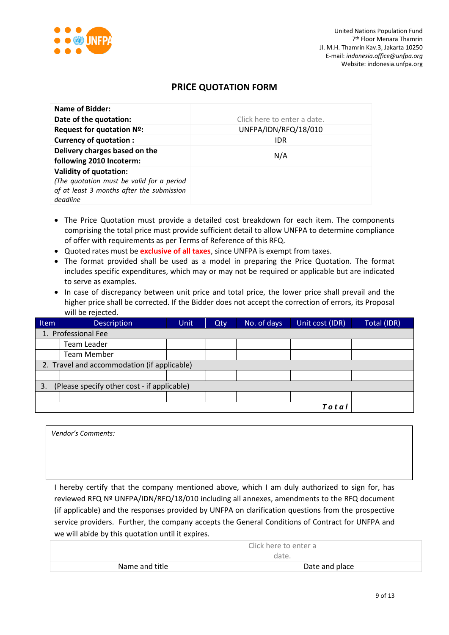

*Vendor's Comments:*

## **PRICE QUOTATION FORM**

| Name of Bidder:                                                                                                                     |                             |
|-------------------------------------------------------------------------------------------------------------------------------------|-----------------------------|
| Date of the quotation:                                                                                                              | Click here to enter a date. |
| Request for quotation Nº:                                                                                                           | UNFPA/IDN/RFQ/18/010        |
| <b>Currency of quotation:</b>                                                                                                       | IDR                         |
| Delivery charges based on the<br>following 2010 Incoterm:                                                                           | N/A                         |
| <b>Validity of quotation:</b><br>(The quotation must be valid for a period<br>of at least 3 months after the submission<br>deadline |                             |

- The Price Quotation must provide a detailed cost breakdown for each item. The components comprising the total price must provide sufficient detail to allow UNFPA to determine compliance of offer with requirements as per Terms of Reference of this RFQ.
- Quoted rates must be **exclusive of all taxes**, since UNFPA is exempt from taxes.
- The format provided shall be used as a model in preparing the Price Quotation. The format includes specific expenditures, which may or may not be required or applicable but are indicated to serve as examples.
- In case of discrepancy between unit price and total price, the lower price shall prevail and the higher price shall be corrected. If the Bidder does not accept the correction of errors, its Proposal will be rejected.

| Item                                              | <b>Description</b>                          | <b>Unit</b> | Qty | No. of days | Unit cost (IDR) | Total (IDR) |
|---------------------------------------------------|---------------------------------------------|-------------|-----|-------------|-----------------|-------------|
|                                                   | 1. Professional Fee                         |             |     |             |                 |             |
|                                                   | Team Leader                                 |             |     |             |                 |             |
|                                                   | <b>Team Member</b>                          |             |     |             |                 |             |
|                                                   | 2. Travel and accommodation (if applicable) |             |     |             |                 |             |
|                                                   |                                             |             |     |             |                 |             |
| (Please specify other cost - if applicable)<br>3. |                                             |             |     |             |                 |             |
|                                                   |                                             |             |     |             |                 |             |
|                                                   |                                             |             |     |             | Total           |             |

I hereby certify that the company mentioned above, which I am duly authorized to sign for, has reviewed RFQ Nº UNFPA/IDN/RFQ/18/010 including all annexes, amendments to the RFQ document (if applicable) and the responses provided by UNFPA on clarification questions from the prospective service providers. Further, the company accepts the General Conditions of Contract for UNFPA and we will abide by this quotation until it expires.

|                | Click here to enter a<br>date. |
|----------------|--------------------------------|
| Name and title | Date and place                 |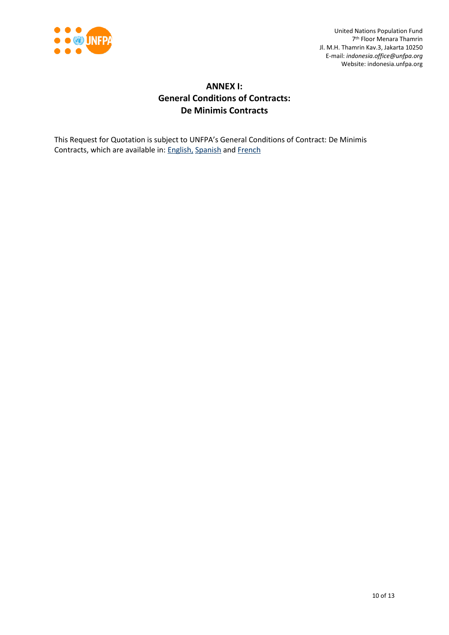

United Nations Population Fund 7 th Floor Menara Thamrin Jl. M.H. Thamrin Kav.3, Jakarta 10250 E-mail: *indonesia.office@unfpa.org* Website: indonesia.unfpa.org

# **ANNEX I: General Conditions of Contracts: De Minimis Contracts**

This Request for Quotation is subject to UNFPA's General Conditions of Contract: De Minimis Contracts, which are available in: [English,](http://www.unfpa.org/resources/unfpa-general-conditions-de-minimis-contracts) [Spanish](http://www.unfpa.org/sites/default/files/resource-pdf/UNFPA%20General%20Conditions%20-%20De%20Minimis%20Contracts%20SP_0.pdf) and [French](http://www.unfpa.org/sites/default/files/resource-pdf/UNFPA%20General%20Conditions%20-%20De%20Minimis%20Contracts%20FR_0.pdf)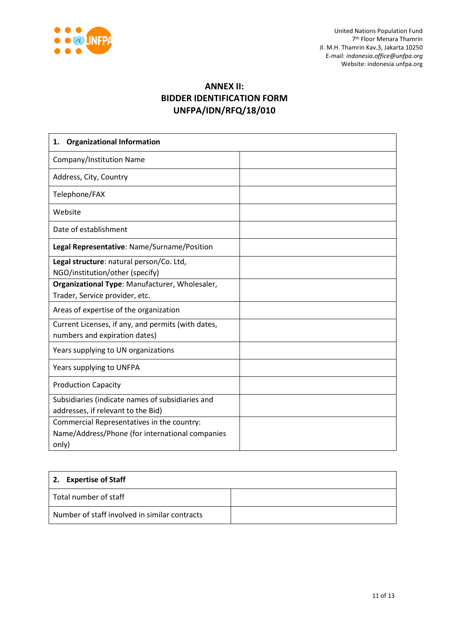

United Nations Population Fund 7 th Floor Menara Thamrin Jl. M.H. Thamrin Kav.3, Jakarta 10250 E-mail: *indonesia.office@unfpa.org* Website: indonesia.unfpa.org

# **ANNEX II: BIDDER IDENTIFICATION FORM UNFPA/IDN/RFQ/18/010**

| <b>Organizational Information</b><br>1.                                                                |  |
|--------------------------------------------------------------------------------------------------------|--|
| Company/Institution Name                                                                               |  |
| Address, City, Country                                                                                 |  |
| Telephone/FAX                                                                                          |  |
| Website                                                                                                |  |
| Date of establishment                                                                                  |  |
| Legal Representative: Name/Surname/Position                                                            |  |
| Legal structure: natural person/Co. Ltd,<br>NGO/institution/other (specify)                            |  |
| Organizational Type: Manufacturer, Wholesaler,<br>Trader, Service provider, etc.                       |  |
| Areas of expertise of the organization                                                                 |  |
| Current Licenses, if any, and permits (with dates,<br>numbers and expiration dates)                    |  |
| Years supplying to UN organizations                                                                    |  |
| Years supplying to UNFPA                                                                               |  |
| <b>Production Capacity</b>                                                                             |  |
| Subsidiaries (indicate names of subsidiaries and<br>addresses, if relevant to the Bid)                 |  |
| Commercial Representatives in the country:<br>Name/Address/Phone (for international companies<br>only) |  |

| 2. Expertise of Staff                         |  |
|-----------------------------------------------|--|
| Total number of staff                         |  |
| Number of staff involved in similar contracts |  |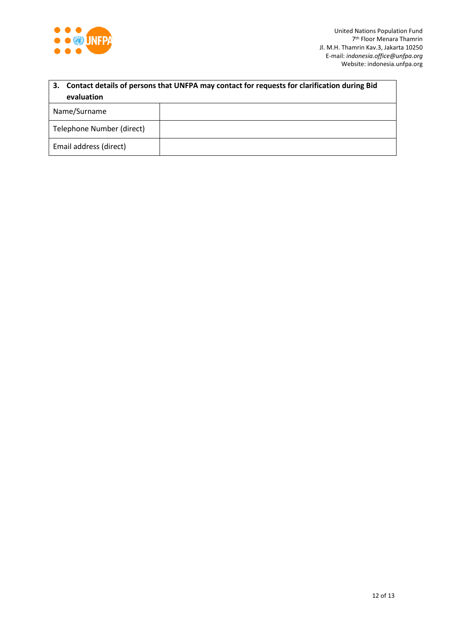

| Contact details of persons that UNFPA may contact for requests for clarification during Bid<br>3.<br>evaluation |  |  |
|-----------------------------------------------------------------------------------------------------------------|--|--|
| Name/Surname                                                                                                    |  |  |
|                                                                                                                 |  |  |
| Telephone Number (direct)                                                                                       |  |  |
| Email address (direct)                                                                                          |  |  |